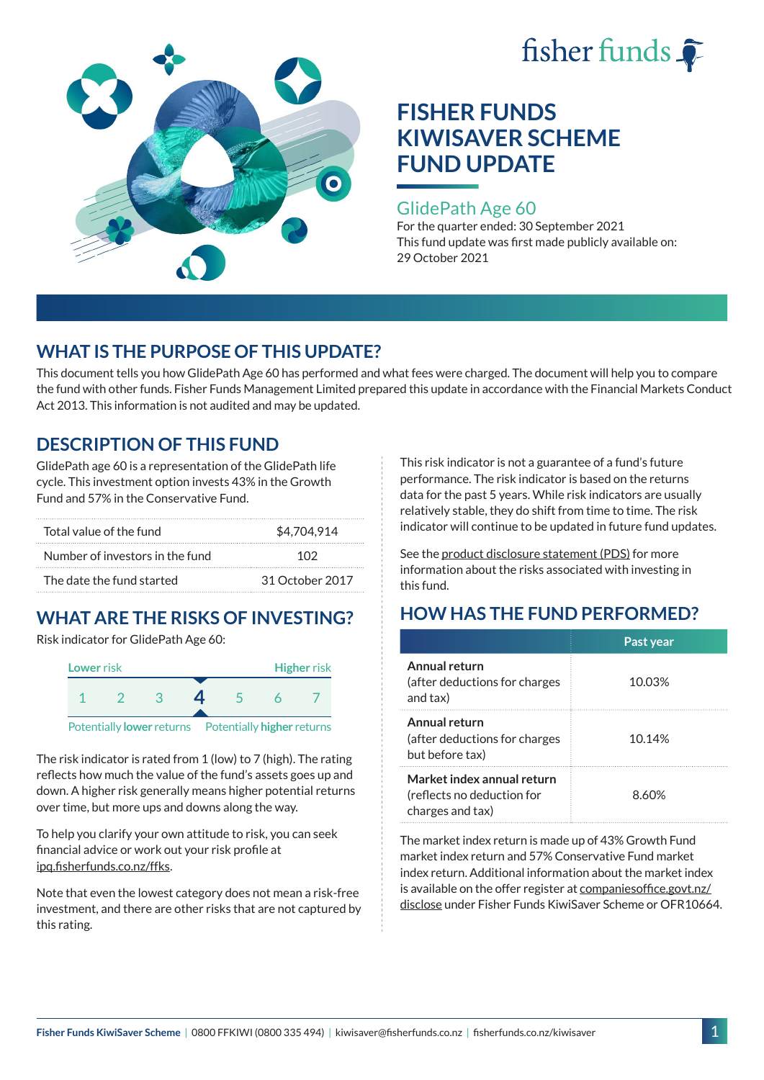



### GlidePath Age 60

For the quarter ended: 30 September 2021 This fund update was first made publicly available on: 29 October 2021

## **WHAT IS THE PURPOSE OF THIS UPDATE?**

This document tells you how GlidePath Age 60 has performed and what fees were charged. The document will help you to compare the fund with other funds. Fisher Funds Management Limited prepared this update in accordance with the Financial Markets Conduct Act 2013. This information is not audited and may be updated.

## **DESCRIPTION OF THIS FUND**

GlidePath age 60 is a representation of the GlidePath life cycle. This investment option invests 43% in the Growth Fund and 57% in the Conservative Fund.

| Total value of the fund         | \$4,704,914     |  |
|---------------------------------|-----------------|--|
| Number of investors in the fund | 102             |  |
| The date the fund started       | 31 October 2017 |  |

# **WHAT ARE THE RISKS OF INVESTING?**

Risk indicator for GlidePath Age 60:



The risk indicator is rated from 1 (low) to 7 (high). The rating

reflects how much the value of the fund's assets goes up and down. A higher risk generally means higher potential returns over time, but more ups and downs along the way.

To help you clarify your own attitude to risk, you can seek financial advice or work out your risk profile at [ipq.fisherfunds.co.nz/ffks](https://ipq.fisherfunds.co.nz/ffks).

Note that even the lowest category does not mean a risk-free investment, and there are other risks that are not captured by this rating.

This risk indicator is not a guarantee of a fund's future performance. The risk indicator is based on the returns data for the past 5 years. While risk indicators are usually relatively stable, they do shift from time to time. The risk indicator will continue to be updated in future fund updates.

See the [product disclosure statement \(PDS\)](https://fisherfunds.co.nz/assets/PDS/Fisher-Funds-KiwiSaver-Scheme-PDS.pdf) for more information about the risks associated with investing in this fund.

## **HOW HAS THE FUND PERFORMED?**

|                                                                              | Past year |
|------------------------------------------------------------------------------|-----------|
| Annual return<br>(after deductions for charges<br>and tax)                   | 10.03%    |
| Annual return<br>(after deductions for charges<br>but before tax)            | 10.14%    |
| Market index annual return<br>(reflects no deduction for<br>charges and tax) | 8.60%     |

The market index return is made up of 43% Growth Fund market index return and 57% Conservative Fund market index return. Additional information about the market index is available on the offer register at [companiesoffice.govt.nz/](http://companiesoffice.govt.nz/disclose) [disclose](http://companiesoffice.govt.nz/disclose) under Fisher Funds KiwiSaver Scheme or OFR10664.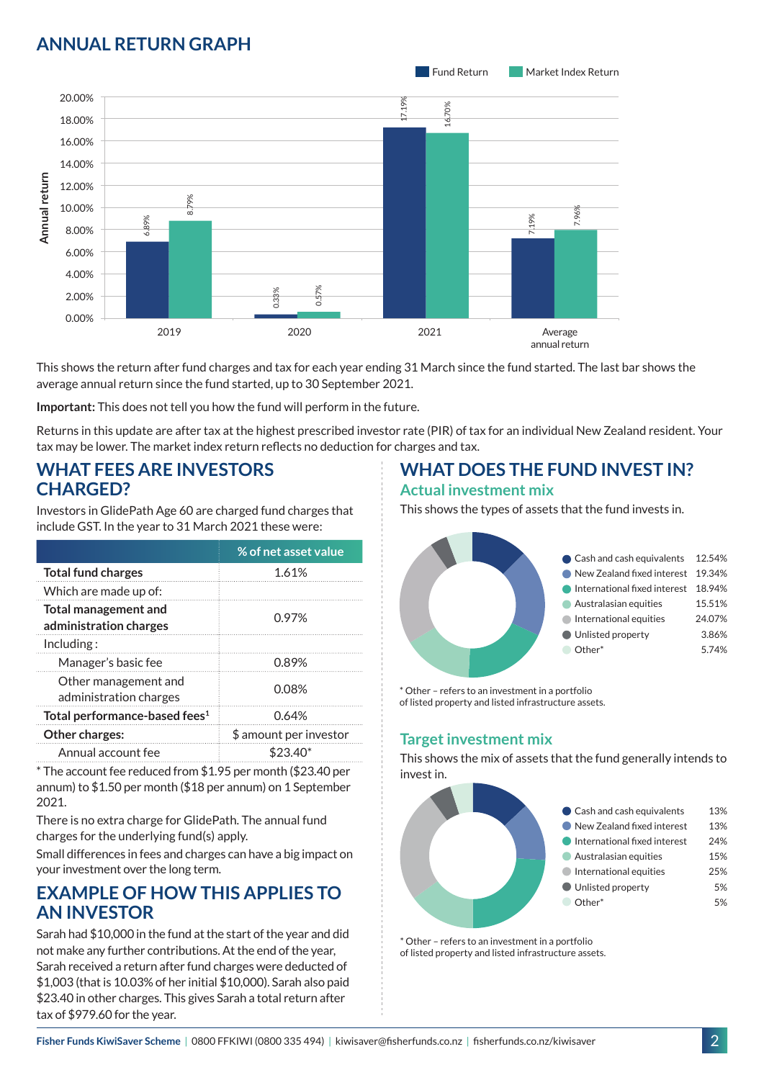## **ANNUAL RETURN GRAPH**



This shows the return after fund charges and tax for each year ending 31 March since the fund started. The last bar shows the average annual return since the fund started, up to 30 September 2021.

**Important:** This does not tell you how the fund will perform in the future.

Returns in this update are after tax at the highest prescribed investor rate (PIR) of tax for an individual New Zealand resident. Your tax may be lower. The market index return reflects no deduction for charges and tax.

### **WHAT FEES ARE INVESTORS CHARGED?**

Investors in GlidePath Age 60 are charged fund charges that include GST. In the year to 31 March 2021 these were:

|                                                       | % of net asset value   |
|-------------------------------------------------------|------------------------|
| <b>Total fund charges</b>                             | 1.61%                  |
| Which are made up of:                                 |                        |
| <b>Total management and</b><br>administration charges | 0.97%                  |
| Inding:                                               |                        |
| Manager's basic fee                                   | 0.89%                  |
| Other management and<br>administration charges        | 0.08%                  |
| Total performance-based fees <sup>1</sup>             | 0.64%                  |
| <b>Other charges:</b>                                 | \$ amount per investor |
| Annual account fee                                    |                        |

\* The account fee reduced from \$1.95 per month (\$23.40 per annum) to \$1.50 per month (\$18 per annum) on 1 September 2021.

There is no extra charge for GlidePath. The annual fund charges for the underlying fund(s) apply.

Small differences in fees and charges can have a big impact on your investment over the long term.

### **EXAMPLE OF HOW THIS APPLIES TO AN INVESTOR**

Sarah had \$10,000 in the fund at the start of the year and did not make any further contributions. At the end of the year, Sarah received a return after fund charges were deducted of \$1,003 (that is 10.03% of her initial \$10,000). Sarah also paid \$23.40 in other charges. This gives Sarah a total return after tax of \$979.60 for the year.

# **WHAT DOES THE FUND INVEST IN?**

#### **Actual investment mix**

This shows the types of assets that the fund invests in.



\* Other – refers to an investment in a portfolio of listed property and listed infrastructure assets.

### **Target investment mix**

This shows the mix of assets that the fund generally intends to invest in.



\* Other – refers to an investment in a portfolio of listed property and listed infrastructure assets.